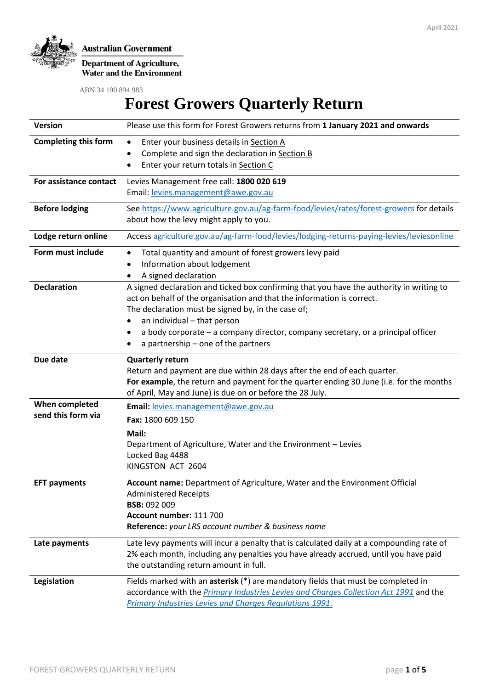

**Department of Agriculture,<br>Water and the Environment** 

ABN 34 190 894 983

# **Forest Growers Quarterly Return**

| <b>Version</b>                       | Please use this form for Forest Growers returns from 1 January 2021 and onwards                                                                                                                                                                                                                                                                                                    |  |  |  |
|--------------------------------------|------------------------------------------------------------------------------------------------------------------------------------------------------------------------------------------------------------------------------------------------------------------------------------------------------------------------------------------------------------------------------------|--|--|--|
| <b>Completing this form</b>          | Enter your business details in Section A<br>$\bullet$<br>Complete and sign the declaration in Section B<br>Enter your return totals in Section C<br>٠                                                                                                                                                                                                                              |  |  |  |
| For assistance contact               | Levies Management free call: 1800 020 619<br>Email: levies.management@awe.gov.au                                                                                                                                                                                                                                                                                                   |  |  |  |
| <b>Before lodging</b>                | See https://www.agriculture.gov.au/ag-farm-food/levies/rates/forest-growers for details<br>about how the levy might apply to you.                                                                                                                                                                                                                                                  |  |  |  |
| Lodge return online                  | Access agriculture.gov.au/ag-farm-food/levies/lodging-returns-paying-levies/leviesonline                                                                                                                                                                                                                                                                                           |  |  |  |
| Form must include                    | Total quantity and amount of forest growers levy paid<br>٠<br>Information about lodgement<br>٠<br>A signed declaration                                                                                                                                                                                                                                                             |  |  |  |
| <b>Declaration</b>                   | A signed declaration and ticked box confirming that you have the authority in writing to<br>act on behalf of the organisation and that the information is correct.<br>The declaration must be signed by, in the case of;<br>an individual - that person<br>a body corporate – a company director, company secretary, or a principal officer<br>a partnership - one of the partners |  |  |  |
| Due date                             | <b>Quarterly return</b><br>Return and payment are due within 28 days after the end of each quarter.<br>For example, the return and payment for the quarter ending 30 June (i.e. for the months<br>of April, May and June) is due on or before the 28 July.                                                                                                                         |  |  |  |
| When completed<br>send this form via | Email: levies.management@awe.gov.au<br>Fax: 1800 609 150<br>Mail:<br>Department of Agriculture, Water and the Environment - Levies<br>Locked Bag 4488<br>KINGSTON ACT 2604                                                                                                                                                                                                         |  |  |  |
| <b>EFT payments</b>                  | Account name: Department of Agriculture, Water and the Environment Official<br><b>Administered Receipts</b><br><b>BSB: 092 009</b><br>Account number: 111 700<br>Reference: your LRS account number & business name                                                                                                                                                                |  |  |  |
| Late payments                        | Late levy payments will incur a penalty that is calculated daily at a compounding rate of<br>2% each month, including any penalties you have already accrued, until you have paid<br>the outstanding return amount in full.                                                                                                                                                        |  |  |  |
| Legislation                          | Fields marked with an asterisk (*) are mandatory fields that must be completed in<br>accordance with the Primary Industries Levies and Charges Collection Act 1991 and the<br>Primary Industries Levies and Charges Regulations 1991.                                                                                                                                              |  |  |  |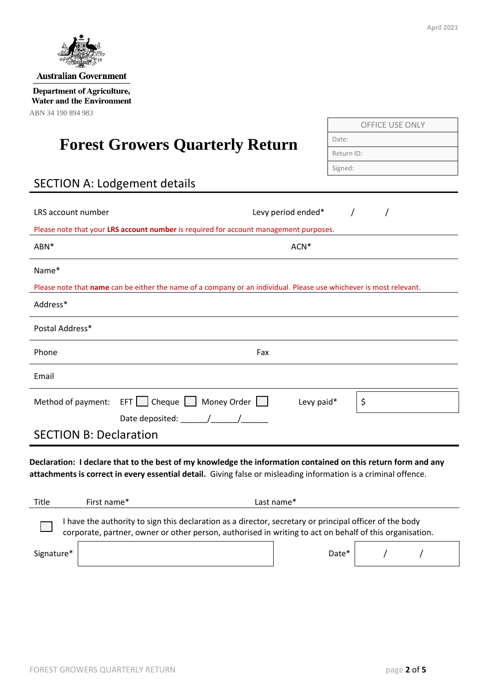

OFFICE USE ONLY

Date:

Return ID: Signed:

| <b>PARTICIPAL COMPANY</b>    |  |  |  |  |  |
|------------------------------|--|--|--|--|--|
| <b>Australian Government</b> |  |  |  |  |  |
|                              |  |  |  |  |  |

**Department of Agriculture, Water and the Environment** ABN 34 190 894 983

# **Forest Growers Quarterly Return**

# SECTION A: Lodgement details

| LRS account number                                                                                                                                                                                                               |                                                                                                                    | Levy period ended* |    |  |  |  |  |
|----------------------------------------------------------------------------------------------------------------------------------------------------------------------------------------------------------------------------------|--------------------------------------------------------------------------------------------------------------------|--------------------|----|--|--|--|--|
| Please note that your LRS account number is required for account management purposes.                                                                                                                                            |                                                                                                                    |                    |    |  |  |  |  |
| ABN*                                                                                                                                                                                                                             |                                                                                                                    | ACN <sup>*</sup>   |    |  |  |  |  |
| Name*                                                                                                                                                                                                                            |                                                                                                                    |                    |    |  |  |  |  |
|                                                                                                                                                                                                                                  | Please note that name can be either the name of a company or an individual. Please use whichever is most relevant. |                    |    |  |  |  |  |
| Address*                                                                                                                                                                                                                         |                                                                                                                    |                    |    |  |  |  |  |
| Postal Address*                                                                                                                                                                                                                  |                                                                                                                    |                    |    |  |  |  |  |
| Phone                                                                                                                                                                                                                            | Fax                                                                                                                |                    |    |  |  |  |  |
| Email                                                                                                                                                                                                                            |                                                                                                                    |                    |    |  |  |  |  |
| Method of payment:                                                                                                                                                                                                               | EFT   Cheque   Money Order                                                                                         | Levy paid*         | \$ |  |  |  |  |
| <b>SECTION B: Declaration</b>                                                                                                                                                                                                    |                                                                                                                    |                    |    |  |  |  |  |
| Declaration: I declare that to the best of my knowledge the information contained on this return form and any<br>attachments is correct in every essential detail. Giving false or misleading information is a criminal offence. |                                                                                                                    |                    |    |  |  |  |  |
| First name*<br>Title                                                                                                                                                                                                             |                                                                                                                    | Last name*         |    |  |  |  |  |
| I have the authority to sign this declaration as a director, secretary or principal officer of the body<br>corporate, partner, owner or other person, authorised in writing to act on behalf of this organisation.               |                                                                                                                    |                    |    |  |  |  |  |
| Signature*                                                                                                                                                                                                                       |                                                                                                                    | Date*              |    |  |  |  |  |
|                                                                                                                                                                                                                                  |                                                                                                                    |                    |    |  |  |  |  |

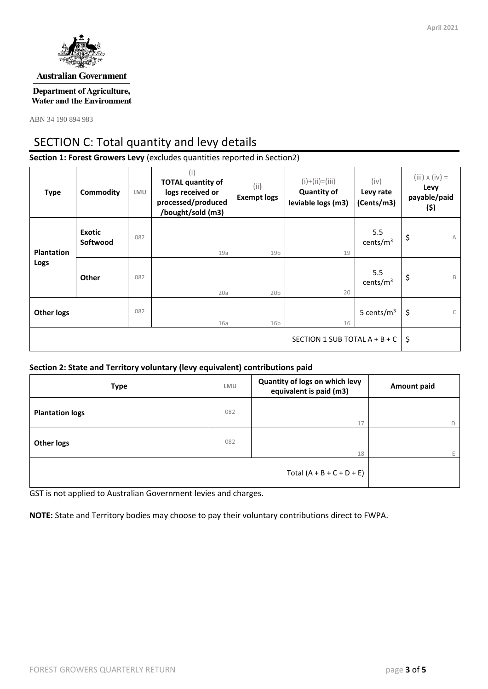

#### **Australian Government**

**Department of Agriculture, Water and the Environment** 

ABN 34 190 894 983

## SECTION C: Total quantity and levy details

**Section 1: Forest Growers Levy** (excludes quantities reported in Section2)

| <b>Type</b>                     | Commodity                 | LMU | (i)<br><b>TOTAL quantity of</b><br>logs received or<br>processed/produced<br>/bought/sold (m3) | (i)<br><b>Exempt logs</b> | $(i)+(ii)=(iii)$<br><b>Quantity of</b><br>leviable logs (m3) | (iv)<br>Levy rate<br>(Cents/m3) | $(iii) \times (iv) =$<br>Levy<br>payable/paid<br>(\$) |
|---------------------------------|---------------------------|-----|------------------------------------------------------------------------------------------------|---------------------------|--------------------------------------------------------------|---------------------------------|-------------------------------------------------------|
| <b>Plantation</b><br>Logs       | <b>Exotic</b><br>Softwood | 082 | 19a                                                                                            | 19 <sub>b</sub>           | 19                                                           | 5.5<br>cents/ $m3$              | \$<br>$\wedge$                                        |
|                                 | Other                     | 082 | 20a                                                                                            | 20 <sub>b</sub>           | 20                                                           | 5.5<br>cents/ $m3$              | \$<br>B                                               |
| <b>Other logs</b>               |                           | 082 | 16a                                                                                            | 16 <sub>b</sub>           | 16                                                           | 5 cents/ $m3$                   | $\mathsf{C}$<br>\$                                    |
| SECTION 1 SUB TOTAL $A + B + C$ |                           |     |                                                                                                | -\$                       |                                                              |                                 |                                                       |

#### **Section 2: State and Territory voluntary (levy equivalent) contributions paid**

| <b>Type</b>            | LMU | Quantity of logs on which levy<br>equivalent is paid (m3) | <b>Amount paid</b> |  |
|------------------------|-----|-----------------------------------------------------------|--------------------|--|
| <b>Plantation logs</b> | 082 | 17                                                        |                    |  |
| <b>Other logs</b>      | 082 | 18                                                        |                    |  |
|                        |     | Total $(A + B + C + D + E)$                               |                    |  |

GST is not applied to Australian Government levies and charges.

**NOTE:** State and Territory bodies may choose to pay their voluntary contributions direct to FWPA.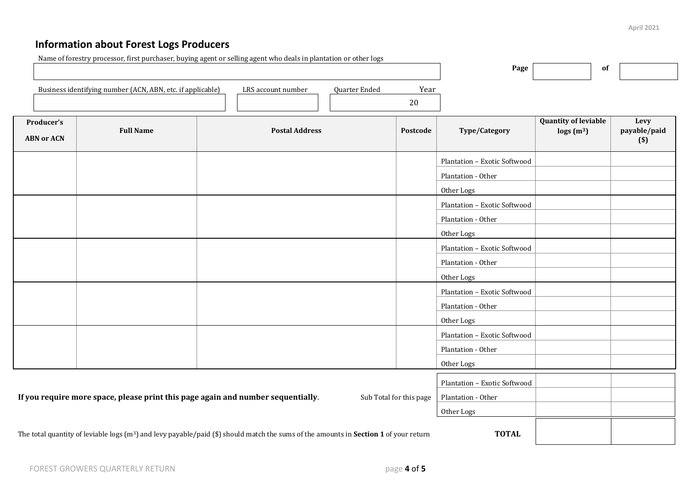## **Information about Forest Logs Producers**

| Name of forestry processor, first purchaser, buying agent or selling agent who deals in plantation or other logs                                               |                  |                       |          | Page                                                             | of                                                        |                               |
|----------------------------------------------------------------------------------------------------------------------------------------------------------------|------------------|-----------------------|----------|------------------------------------------------------------------|-----------------------------------------------------------|-------------------------------|
| Business identifying number (ACN, ABN, etc. if applicable)<br>LRS account number<br>Quarter Ended<br>Year<br>20                                                |                  |                       |          |                                                                  |                                                           |                               |
| Producer's<br><b>ABN or ACN</b>                                                                                                                                | <b>Full Name</b> | <b>Postal Address</b> | Postcode | Type/Category                                                    | <b>Quantity of leviable</b><br>$\log s$ (m <sup>3</sup> ) | Levy<br>payable/paid<br>$($)$ |
|                                                                                                                                                                |                  |                       |          | Plantation - Exotic Softwood<br>Plantation - Other<br>Other Logs |                                                           |                               |
|                                                                                                                                                                |                  |                       |          | Plantation - Exotic Softwood<br>Plantation - Other<br>Other Logs |                                                           |                               |
|                                                                                                                                                                |                  |                       |          | Plantation - Exotic Softwood<br>Plantation - Other<br>Other Logs |                                                           |                               |
|                                                                                                                                                                |                  |                       |          | Plantation - Exotic Softwood<br>Plantation - Other<br>Other Logs |                                                           |                               |
|                                                                                                                                                                |                  |                       |          | Plantation - Exotic Softwood<br>Plantation - Other<br>Other Logs |                                                           |                               |
| If you require more space, please print this page again and number sequentially.<br>Sub Total for this page                                                    |                  |                       |          | Plantation - Exotic Softwood<br>Plantation - Other<br>Other Logs |                                                           |                               |
| <b>TOTAL</b><br>The total quantity of leviable logs $(m^3)$ and levy payable/paid (\$) should match the sums of the amounts in <b>Section 1</b> of your return |                  |                       |          |                                                                  |                                                           |                               |